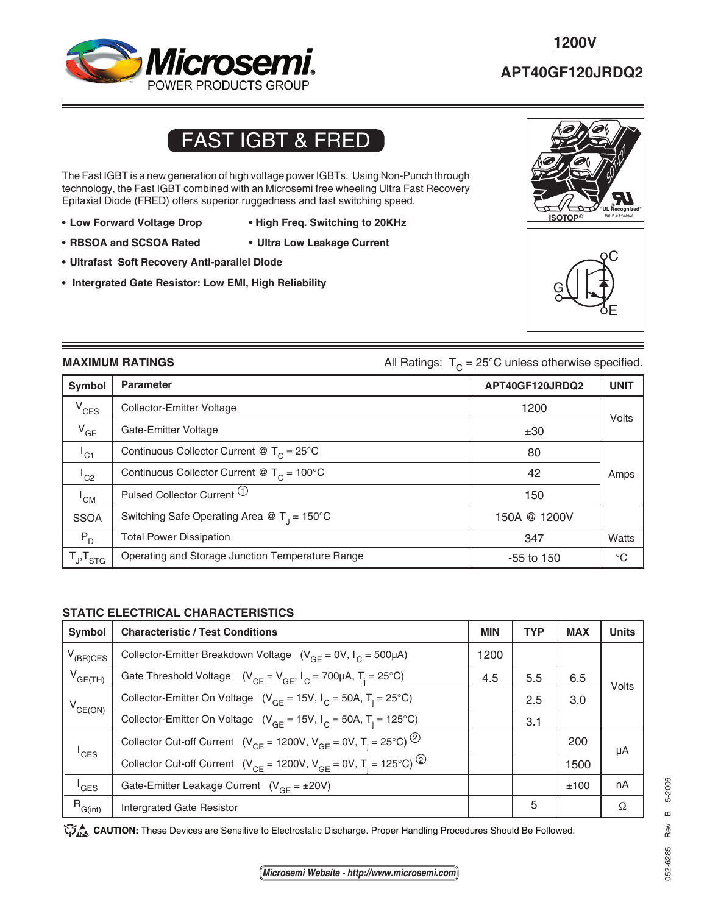## **TYPICAL PERFORMANCE CURVES APT40GF120JRDQ2** *Microsemi.* POWER PRODUCTS GROUP

## **APT40GF120JRDQ2**

# FAST IGBT & FRED

The Fast IGBT is a new generation of high voltage power IGBTs. Using Non-Punch through technology, the Fast IGBT combined with an Microsemi free wheeling Ultra Fast Recovery Epitaxial Diode (FRED) offers superior ruggedness and fast switching speed.

- **Low Forward Voltage Drop High Freq. Switching to 20KHz**
- **RBSOA and SCSOA Rated Ultra Low Leakage Current**
- 
- **Ultrafast Soft Recovery Anti-parallel Diode**
- **Intergrated Gate Resistor: Low EMI, High Reliability**





**MAXIMUM RATINGS All Ratings:** T<sub>C</sub> = 25°C unless otherwise specified.

|                     | ັ                                                     |                 |             |
|---------------------|-------------------------------------------------------|-----------------|-------------|
| Symbol              | <b>Parameter</b>                                      | APT40GF120JRDQ2 | <b>UNIT</b> |
| $V_{CES}$           | Collector-Emitter Voltage                             | 1200            | Volts       |
| $V_{GE}$            | Gate-Emitter Voltage                                  | ±30             |             |
| $I_{C1}$            | Continuous Collector Current @ $T_c = 25^{\circ}$ C   | 80              |             |
| $^{\mathsf{I}}$ C2  | Continuous Collector Current @ $T_c = 100^{\circ}$ C  | 42              | Amps        |
| 'CM                 | Pulsed Collector Current (1)                          | 150             |             |
| <b>SSOA</b>         | Switching Safe Operating Area @ $T_1 = 150^{\circ}$ C | 150A @ 1200V    |             |
| $P_{D}$             | <b>Total Power Dissipation</b>                        | 347             | Watts       |
| $T_{J}$ , $T_{STG}$ | Operating and Storage Junction Temperature Range      | $-55$ to 150    | $^{\circ}C$ |

### **STATIC ELECTRICAL CHARACTERISTICS**

| <b>Symbol</b>       | <b>Characteristic / Test Conditions</b>                                                             |      | <b>TYP</b> | <b>MAX</b> | <b>Units</b> |
|---------------------|-----------------------------------------------------------------------------------------------------|------|------------|------------|--------------|
| $V_{(BR)CES}$       | Collector-Emitter Breakdown Voltage $(V_{GF} = 0V, I_C = 500 \mu A)$                                | 1200 |            |            |              |
| $V_{GE(TH)}$        | Gate Threshold Voltage $(V_{CF} = V_{GF}, I_C = 700 \mu A, T_i = 25^{\circ}C)$                      | 4.5  | 5.5        | 6.5        | Volts        |
| $V_{CE(ON)}$        | Collector-Emitter On Voltage ( $V_{GF} = 15V$ , $I_C = 50A$ , $T_i = 25^{\circ}C$ )                 |      | 2.5        | 3.0        |              |
|                     | Collector-Emitter On Voltage ( $V_{GF}$ = 15V, $I_C$ = 50A, T <sub>i</sub> = 125°C)                 |      | 3.1        |            |              |
| $^{\mathsf{I}}$ CES | Collector Cut-off Current ( $V_{CF}$ = 1200V, $V_{GF}$ = 0V, T <sub>i</sub> = 25°C) <sup>(2)</sup>  |      |            | 200        | μA           |
|                     | Collector Cut-off Current ( $V_{CF}$ = 1200V, $V_{GF}$ = 0V, T <sub>i</sub> = 125°C) <sup>(2)</sup> |      |            | 1500       |              |
| <sup>'</sup> GES    | Gate-Emitter Leakage Current $(V_{CF} = \pm 20V)$                                                   |      |            | ±100       | nA           |
| $R_{G(int)}$        | <b>Intergrated Gate Resistor</b>                                                                    |      | 5          |            | Ω            |

CAUTION: These Devices are Sensitive to Electrostatic Discharge. Proper Handling Procedures Should Be Followed.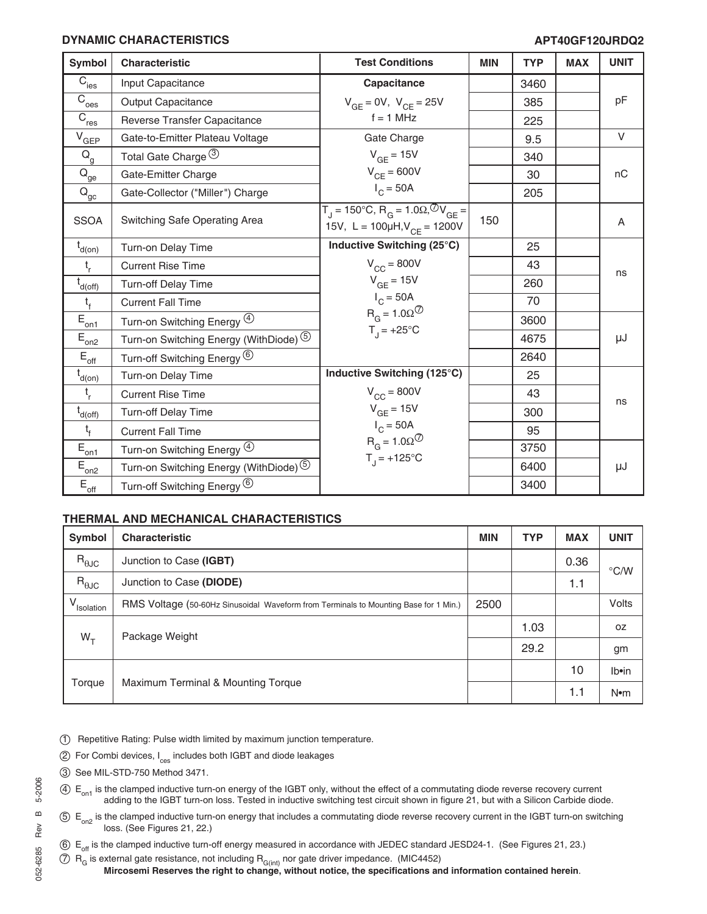#### **DYNAMIC CHARACTERISTICS APT40GF120JRDQ2**

| Symbol                                                             | <b>Characteristic</b>                             | <b>Test Conditions</b>                                                                                   | <b>MIN</b> | <b>TYP</b> | <b>MAX</b> | <b>UNIT</b> |
|--------------------------------------------------------------------|---------------------------------------------------|----------------------------------------------------------------------------------------------------------|------------|------------|------------|-------------|
| $\overline{C}_{\rm ies}$                                           | Input Capacitance                                 | Capacitance                                                                                              |            | 3460       |            |             |
| $\overline{C}_{\text{oes}}$                                        | <b>Output Capacitance</b>                         | $V_{GE} = 0V$ , $V_{CE} = 25V$                                                                           |            | 385        |            | pF          |
| $\overline{C}_{\underline{res}}$                                   | Reverse Transfer Capacitance                      | $f = 1$ MHz                                                                                              |            | 225        |            |             |
| $V_{GEP}$                                                          | Gate-to-Emitter Plateau Voltage                   | Gate Charge                                                                                              |            | 9.5        |            | $\vee$      |
| $\mathsf{Q}_{\mathsf{g}}$                                          | Total Gate Charge 3                               | $V_{GF} = 15V$                                                                                           |            | 340        |            |             |
| $Q_{\underline{\underline{\theta}}\underline{\underline{\theta}}}$ | Gate-Emitter Charge                               | $V_{CE} = 600V$                                                                                          |            | 30         |            | nC          |
| $\mathsf{Q}_\mathsf{gc}$                                           | Gate-Collector ("Miller") Charge                  | $I_C = 50A$                                                                                              |            | 205        |            |             |
| <b>SSOA</b>                                                        | Switching Safe Operating Area                     | $T_J$ = 150°C, R <sub>G</sub> = 1.0Ω, <sup>⊘</sup> V <sub>GE</sub> =<br>15V, L = 100µH, $V_{CF}$ = 1200V | 150        |            |            | A           |
| $t_{d(0n)}$                                                        | Turn-on Delay Time                                | Inductive Switching (25°C)                                                                               |            | 25         |            |             |
| $t_{r}$                                                            | <b>Current Rise Time</b>                          | $V_{CC}$ = 800V                                                                                          |            | 43         |            | ns          |
| $\overline{t}_{d(\underline{off})}$                                | <b>Turn-off Delay Time</b>                        | $V_{GE}$ = 15V                                                                                           |            | 260        |            |             |
| $t_{f}$                                                            | <b>Current Fall Time</b>                          | $I_C = 50A$                                                                                              |            | 70         |            |             |
| $\bar{E}_{\underline{on1}}$                                        | Turn-on Switching Energy 4                        | $R_G = 1.0 \Omega^{\circ}$                                                                               |            | 3600       |            |             |
| $E_{on2}$                                                          | Turn-on Switching Energy (WithDiode) <sup>5</sup> | $T_1$ = +25°C                                                                                            |            | 4675       |            | μJ          |
| $E_{\underline{\text{off}}}$                                       | Turn-off Switching Energy <sup>(6)</sup>          |                                                                                                          |            | 2640       |            |             |
| $t_{d(0n)}$                                                        | Turn-on Delay Time                                | Inductive Switching (125°C)                                                                              |            | 25         |            |             |
| $t_{r}$                                                            | <b>Current Rise Time</b>                          | $V_{\text{CC}} = 800V$                                                                                   |            | 43         |            | ns          |
| $t_{d(off)}$                                                       | Turn-off Delay Time                               | $V_{GE}$ = 15V                                                                                           |            | 300        |            |             |
| $t_{f}$                                                            | <b>Current Fall Time</b>                          | $I_C = 50A$                                                                                              |            | 95         |            |             |
| $\tilde{E}_{\underline{on1}}$                                      | Turn-on Switching Energy 4                        | $R_G = 1.0 \Omega^{\circ}$                                                                               |            | 3750       |            |             |
| $\mathsf{E}_{\underbar{\mathrm{on}}2}$                             | Turn-on Switching Energy (WithDiode) 5            | $T_{1}$ = +125°C                                                                                         |            | 6400       |            | μJ          |
| $\mathsf{E}_{\mathsf{off}}$                                        | Turn-off Switching Energy <sup>6</sup>            |                                                                                                          |            | 3400       |            |             |

### **THERMAL AND MECHANICAL CHARACTERISTICS**

| Symbol          | <b>Characteristic</b>                                                                | <b>MIN</b> | <b>TYP</b> | <b>MAX</b> | <b>UNIT</b>     |
|-----------------|--------------------------------------------------------------------------------------|------------|------------|------------|-----------------|
| $R_{\theta$ JC  | Junction to Case (IGBT)<br>Junction to Case (DIODE)                                  |            |            | 0.36       | $\degree$ C/W   |
| $R_{\theta$ JC  |                                                                                      |            |            | 1.1        |                 |
| V.<br>Isolation | RMS Voltage (50-60Hz Sinusoidal Waveform from Terminals to Mounting Base for 1 Min.) | 2500       |            |            | Volts           |
| $W_{\tau}$      | Package Weight                                                                       |            | 1.03       |            | 0Z              |
|                 |                                                                                      |            | 29.2       |            | gm              |
| Torque          | Maximum Terminal & Mounting Torque                                                   |            |            | 10         | Ib•in           |
|                 |                                                                                      |            |            | 1.1        | N <sub>em</sub> |

- 1 Repetitive Rating: Pulse width limited by maximum junction temperature.
- $(2)$  For Combi devices,  $I_{\text{ces}}$  includes both IGBT and diode leakages
- 3 See MIL-STD-750 Method 3471.
- $40 E_{\text{on}}$  is the clamped inductive turn-on energy of the IGBT only, without the effect of a commutating diode reverse recovery current adding to the IGBT turn-on loss. Tested in inductive switching test circuit shown in figure 21, but with a Silicon Carbide diode.
- $5 E_{on2}$  is the clamped inductive turn-on energy that includes a commutating diode reverse recovery current in the IGBT turn-on switching loss. (See Figures 21, 22.)

6 E<sub>off</sub> is the clamped inductive turn-off energy measured in accordance with JEDEC standard JESD24-1. (See Figures 21, 23.)

 $7)$   $\, {\sf R}_{\sf G}$  is external gate resistance, not including  ${\sf R}_{\sf G(int)}$  nor gate driver impedance. (MIC4452)

**Mircosemi Reserves the right to change, without notice, the specifications and information contained herein**.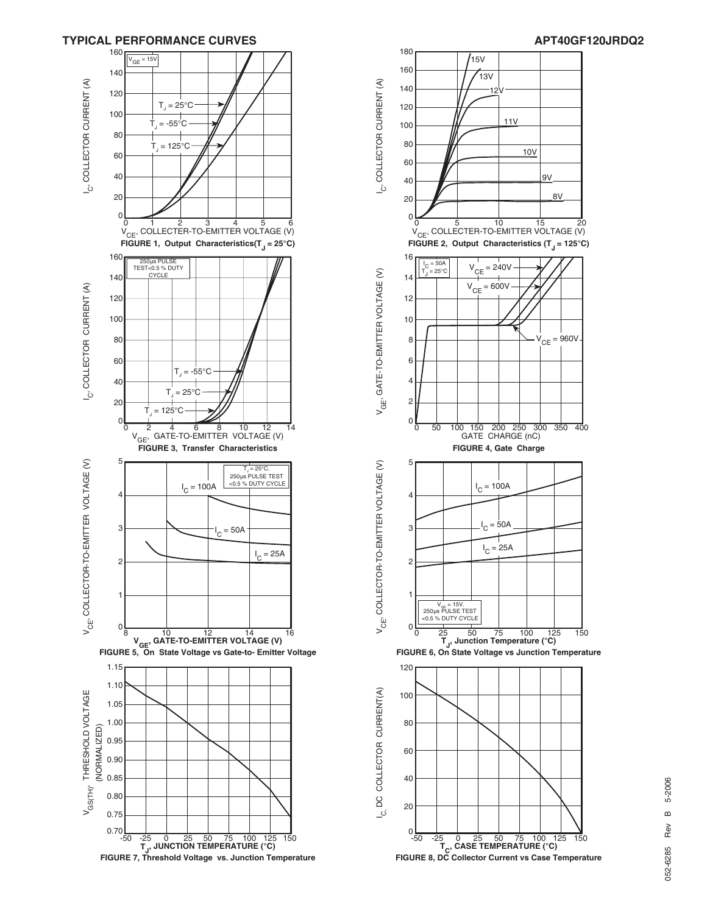

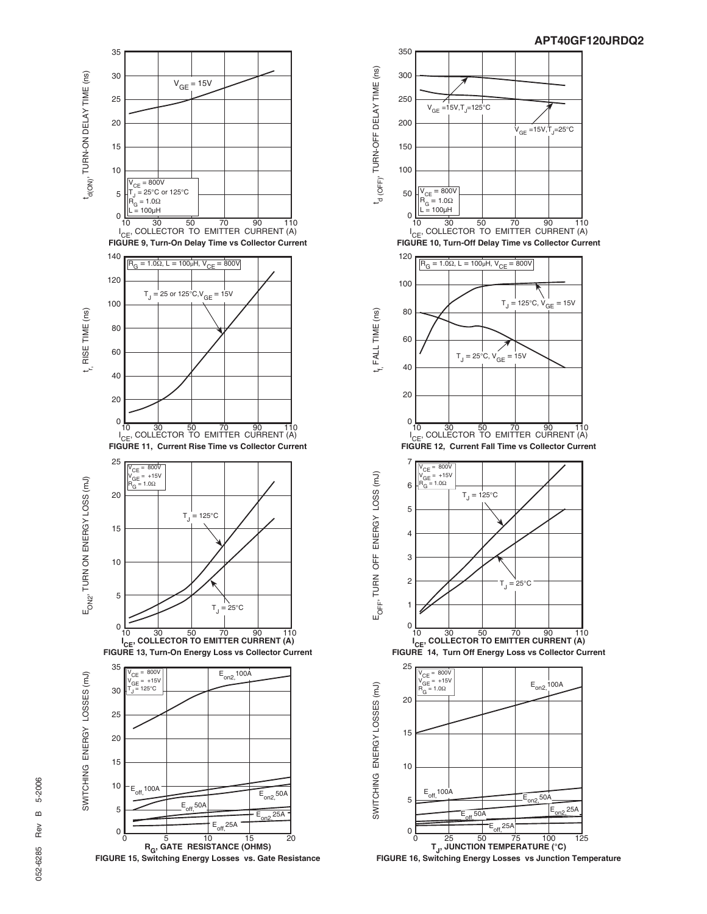





**T<sub>J</sub>, JUNCTION TEMPERATURE (°C)**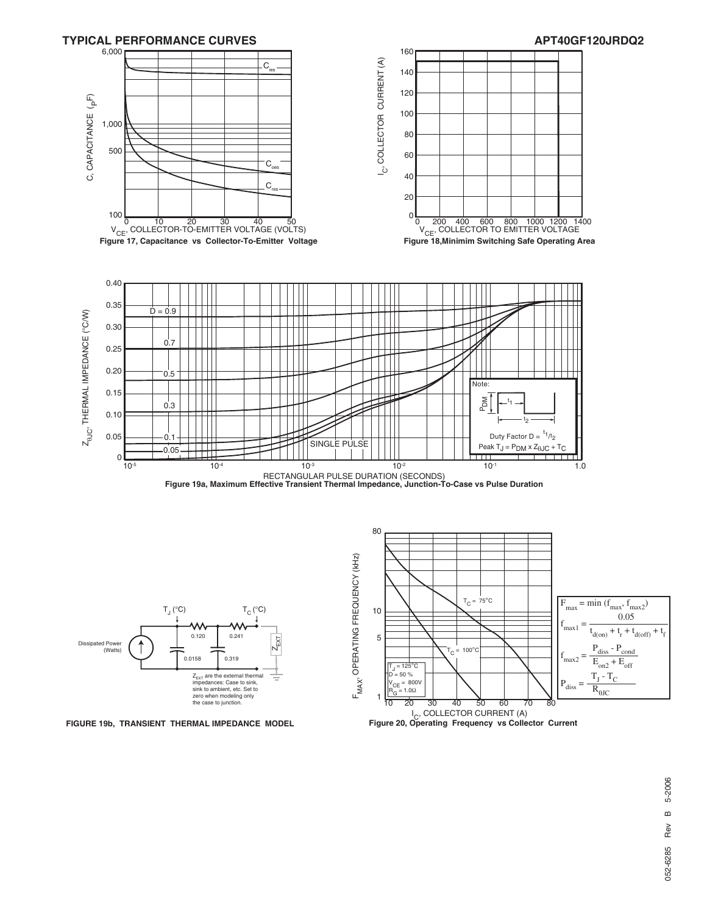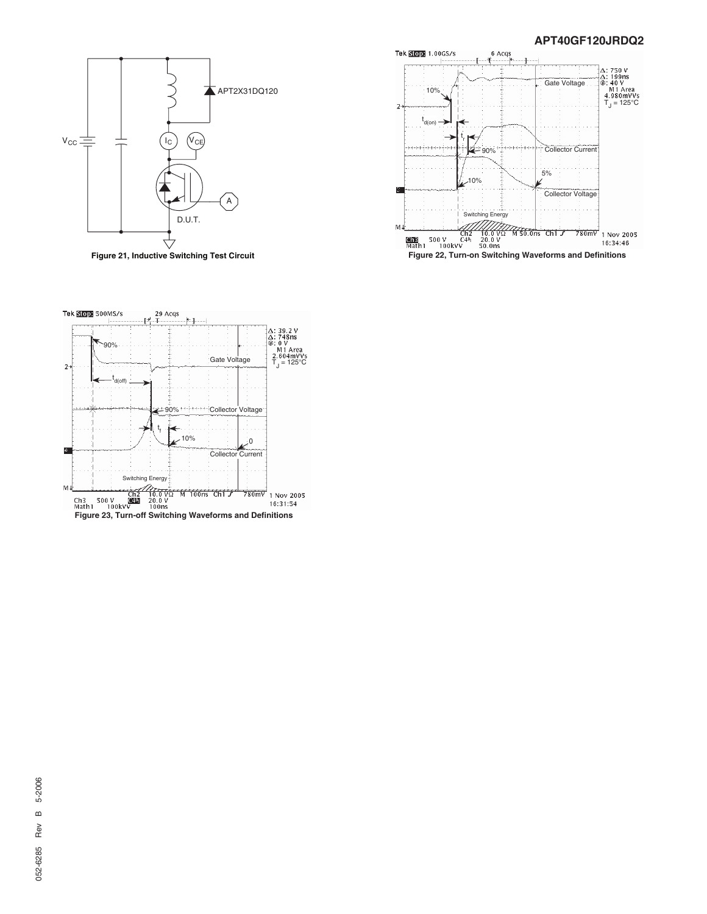#### **APT40GF120JRDQ2**



**Figure 21, Inductive Switching Test Circuit**



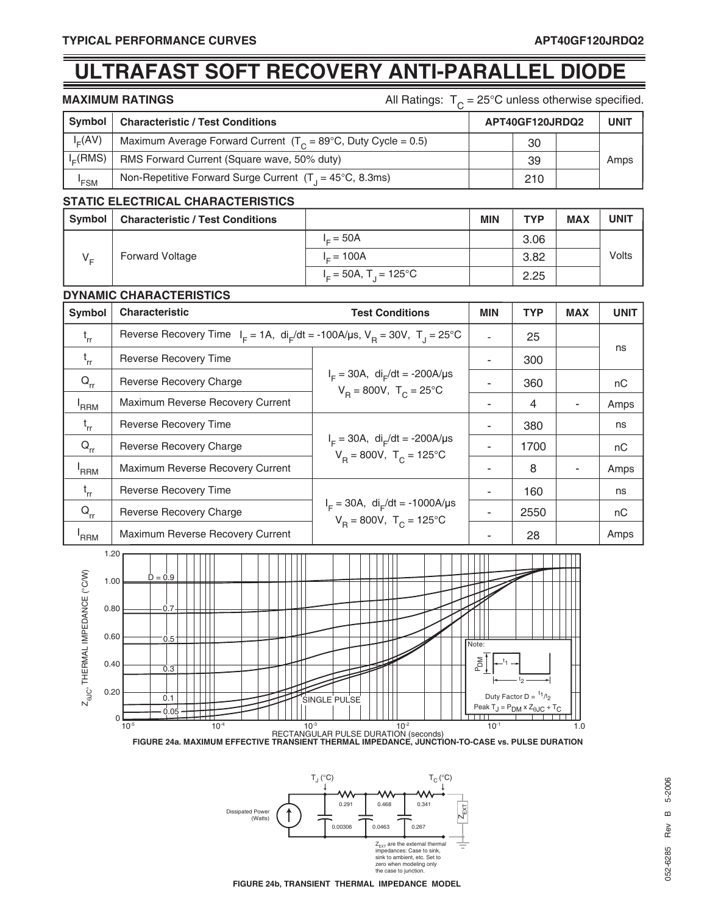# **ULTRAFAST SOFT RECOVERY ANTI-PARALLEL DIODE**

**MAXIMUM RATINGS All Ratings:**  $T_c = 25^\circ \text{C}$  unless otherwise specified.

| Symbol        | <b>Characteristic / Test Conditions</b>                                   | APT40GF120JRDQ2 |  | <b>UNIT</b> |
|---------------|---------------------------------------------------------------------------|-----------------|--|-------------|
| $I_{E}(AV)$   | Maximum Average Forward Current $(T_c = 89^{\circ}C,$ Duty Cycle = 0.5)   | 30              |  |             |
| $l_{E}$ (RMS) | RMS Forward Current (Square wave, 50% duty)                               | 39              |  | Amps        |
| 'FSM          | Non-Repetitive Forward Surge Current $(T_1 = 45^{\circ}C, 8.3 \text{ms})$ | 210             |  |             |

#### **STATIC ELECTRICAL CHARACTERISTICS**

| Symbol  | <b>Characteristic / Test Conditions</b> |                                      | <b>MIN</b> | <b>TYP</b> | <b>MAX</b> | <b>UNIT</b> |
|---------|-----------------------------------------|--------------------------------------|------------|------------|------------|-------------|
| $V_{E}$ | <b>Forward Voltage</b>                  | $I = 50A$                            |            | 3.06       |            | Volts       |
|         |                                         | $I = 100A$                           |            | 3.82       |            |             |
|         |                                         | $I_c = 50A$ , T <sub>1</sub> = 125°C |            | 2.25       |            |             |

#### **DYNAMIC CHARACTERISTICS**

| Symbol                     | <b>Characteristic</b>                                                                          | <b>Test Conditions</b>                                                               | <b>MIN</b> | <b>TYP</b> | <b>MAX</b> | <b>UNIT</b> |
|----------------------------|------------------------------------------------------------------------------------------------|--------------------------------------------------------------------------------------|------------|------------|------------|-------------|
| $t_{rr}$                   | Reverse Recovery Time $I_F = 1A$ , $di_F/dt = -100A/\mu s$ , $V_B = 30V$ , $T_A = 25^{\circ}C$ |                                                                                      |            | 25         |            |             |
| $t_{rr}$                   | <b>Reverse Recovery Time</b>                                                                   |                                                                                      |            | 300        |            | ns          |
| $\mathsf{Q}_{\mathsf{rr}}$ | Reverse Recovery Charge                                                                        | $I_F = 30A$ , di <sub>r</sub> /dt = -200A/µs<br>$V_B = 800V$ , $T_C = 25^{\circ}C$   |            | 360        |            | nC          |
| 'RRM                       | Maximum Reverse Recovery Current                                                               |                                                                                      |            | 4          |            | Amps        |
| $t_{rr}$                   | <b>Reverse Recovery Time</b>                                                                   | $I_F = 30A$ , di <sub>F</sub> /dt = -200A/µs<br>$V_p = 800V$ , $T_c = 125^{\circ}C$  |            | 380        |            | ns          |
| $Q_{rr}$                   | Reverse Recovery Charge                                                                        |                                                                                      |            | 1700       |            | nC          |
| <sup>'</sup> RRM           | Maximum Reverse Recovery Current                                                               |                                                                                      |            | 8          |            | Amps        |
| $t_{rr}$                   | Reverse Recovery Time                                                                          | $I_F = 30A$ , di <sub>F</sub> /dt = -1000A/µs<br>$V_B = 800V$ , $T_C = 125^{\circ}C$ |            | 160        |            | ns          |
| $Q_{rr}$                   | Reverse Recovery Charge                                                                        |                                                                                      |            | 2550       |            | nC          |
| <sup>'</sup> RRM           | Maximum Reverse Recovery Current                                                               |                                                                                      |            | 28         |            | Amps        |



 $\mathsf{T}_{_{\mathrm{C}}} \, (^{\circ}\mathsf{C}) \qquad \qquad \mathsf{T}_{_{\mathrm{C}}} \, (^{\circ}\mathsf{C})$ W 0.291 0.468 0.341  $Z_{\text{ENT}}$ Dissipated Power (Watts) 0.00306 0.0463 0.267 ŧ Z<sub>EXT</sub> are the external thermal<br>impedances: Case to sink, sink to ambient, etc. Set to zero when modeling only the case to junction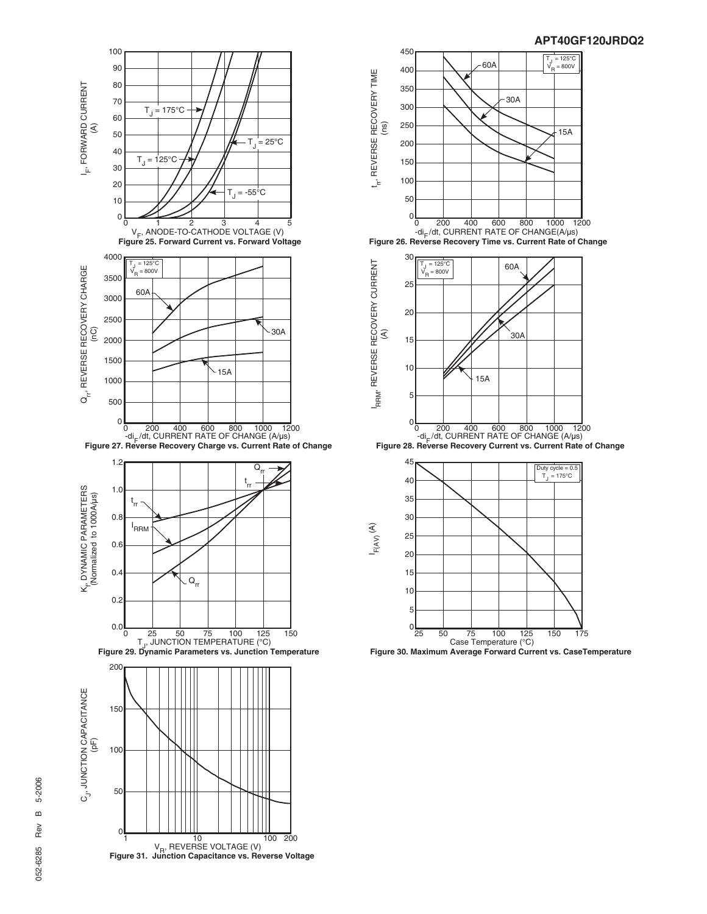



**APT40GF120JRDQ2**